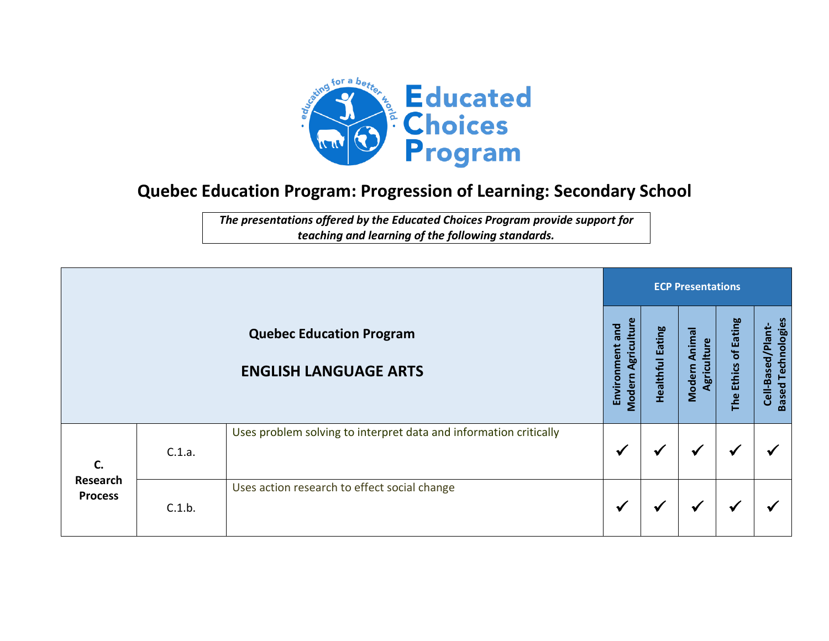

## **Quebec Education Program: Progression of Learning: Secondary School**

*The presentations offered by the Educated Choices Program provide support for teaching and learning of the following standards.*

|                                  |        |                                                                   |                                       |                         | <b>ECP Presentations</b>     |                      |                                                |  |  |  |  |  |
|----------------------------------|--------|-------------------------------------------------------------------|---------------------------------------|-------------------------|------------------------------|----------------------|------------------------------------------------|--|--|--|--|--|
|                                  |        | <b>Quebec Education Program</b><br><b>ENGLISH LANGUAGE ARTS</b>   | Modern Agriculture<br>Environment and | <b>Healthful Eating</b> | Modern Animal<br>Agriculture | The Ethics of Eating | <b>Based Technologies</b><br>Cell-Based/Plant- |  |  |  |  |  |
| C.<br>Research<br><b>Process</b> | C.1.a. | Uses problem solving to interpret data and information critically | $\checkmark$                          | ₩                       | $\checkmark$                 | √                    | ∙                                              |  |  |  |  |  |
|                                  | C.1.b. | Uses action research to effect social change                      | √                                     | ✔                       | $\checkmark$                 | ✔                    |                                                |  |  |  |  |  |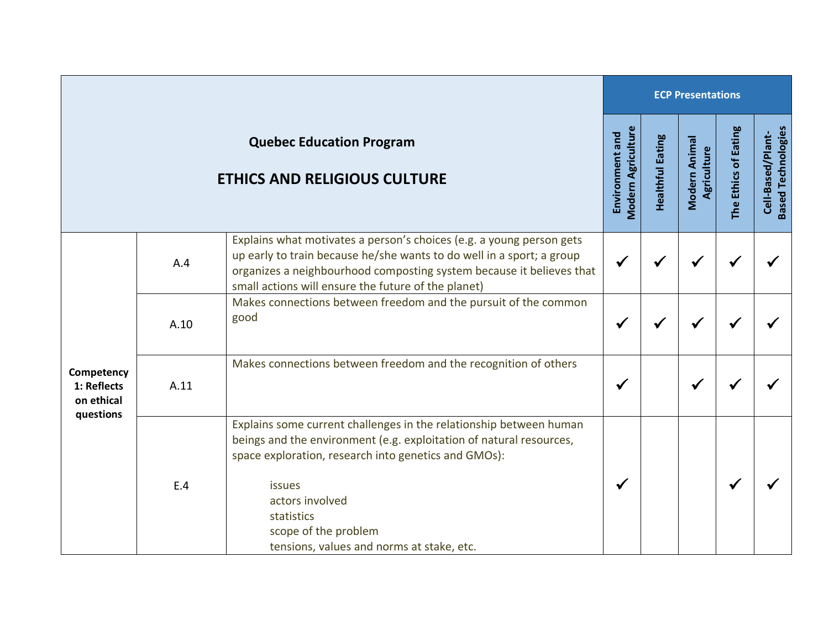|                                                      |      |                                                                                                                                                                                                                                                                                                                   | <b>ECP Presentations</b>                     |                         |                              |                      |                                                |  |  |
|------------------------------------------------------|------|-------------------------------------------------------------------------------------------------------------------------------------------------------------------------------------------------------------------------------------------------------------------------------------------------------------------|----------------------------------------------|-------------------------|------------------------------|----------------------|------------------------------------------------|--|--|
|                                                      |      | <b>Quebec Education Program</b><br><b>ETHICS AND RELIGIOUS CULTURE</b>                                                                                                                                                                                                                                            | <b>Modern Agriculture</b><br>Environment and | <b>Healthful Eating</b> | Modern Animal<br>Agriculture | The Ethics of Eating | <b>Based Technologies</b><br>Cell-Based/Plant- |  |  |
| Competency<br>1: Reflects<br>on ethical<br>questions | A.4  | Explains what motivates a person's choices (e.g. a young person gets<br>up early to train because he/she wants to do well in a sport; a group<br>organizes a neighbourhood composting system because it believes that<br>small actions will ensure the future of the planet)                                      | $\checkmark$                                 |                         |                              |                      |                                                |  |  |
|                                                      | A.10 | Makes connections between freedom and the pursuit of the common<br>good                                                                                                                                                                                                                                           | $\checkmark$                                 | √                       |                              |                      |                                                |  |  |
|                                                      | A.11 | Makes connections between freedom and the recognition of others                                                                                                                                                                                                                                                   | $\checkmark$                                 |                         | √                            |                      |                                                |  |  |
|                                                      | E.4  | Explains some current challenges in the relationship between human<br>beings and the environment (e.g. exploitation of natural resources,<br>space exploration, research into genetics and GMOs):<br>issues<br>actors involved<br>statistics<br>scope of the problem<br>tensions, values and norms at stake, etc. | $\checkmark$                                 |                         |                              | √                    |                                                |  |  |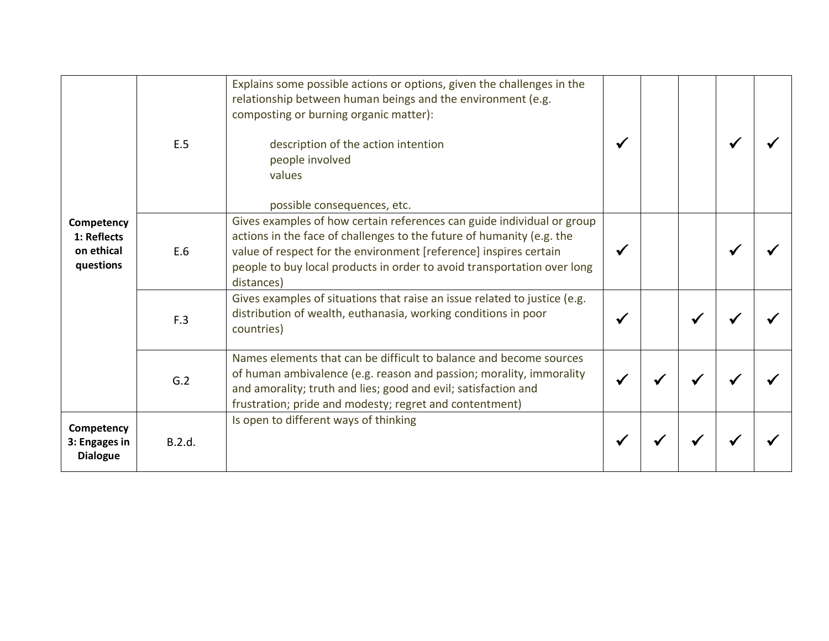| Competency<br>1: Reflects<br>on ethical<br>questions | E.5    | Explains some possible actions or options, given the challenges in the<br>relationship between human beings and the environment (e.g.<br>composting or burning organic matter):<br>description of the action intention<br>people involved<br>values<br>possible consequences, etc.                            |  |  |  |
|------------------------------------------------------|--------|---------------------------------------------------------------------------------------------------------------------------------------------------------------------------------------------------------------------------------------------------------------------------------------------------------------|--|--|--|
|                                                      | E.6    | Gives examples of how certain references can guide individual or group<br>actions in the face of challenges to the future of humanity (e.g. the<br>value of respect for the environment [reference] inspires certain<br>people to buy local products in order to avoid transportation over long<br>distances) |  |  |  |
|                                                      | F.3    | Gives examples of situations that raise an issue related to justice (e.g.<br>distribution of wealth, euthanasia, working conditions in poor<br>countries)                                                                                                                                                     |  |  |  |
|                                                      | G.2    | Names elements that can be difficult to balance and become sources<br>of human ambivalence (e.g. reason and passion; morality, immorality<br>and amorality; truth and lies; good and evil; satisfaction and<br>frustration; pride and modesty; regret and contentment)                                        |  |  |  |
| Competency<br>3: Engages in<br><b>Dialogue</b>       | B.2.d. | Is open to different ways of thinking                                                                                                                                                                                                                                                                         |  |  |  |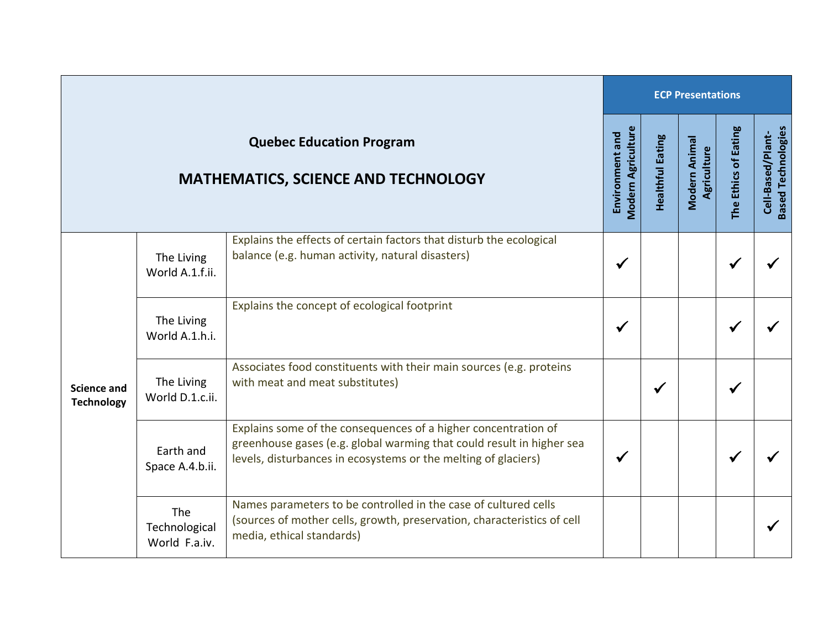|                                                                               |                                              |                                                                                                                                                                                                           |                                              | <b>ECP Presentations</b> |                              |                      |                                                |  |  |  |
|-------------------------------------------------------------------------------|----------------------------------------------|-----------------------------------------------------------------------------------------------------------------------------------------------------------------------------------------------------------|----------------------------------------------|--------------------------|------------------------------|----------------------|------------------------------------------------|--|--|--|
| <b>Quebec Education Program</b><br><b>MATHEMATICS, SCIENCE AND TECHNOLOGY</b> |                                              |                                                                                                                                                                                                           | <b>Modern Agriculture</b><br>Environment and | <b>Healthful Eating</b>  | Modern Animal<br>Agriculture | The Ethics of Eating | <b>Based Technologies</b><br>Cell-Based/Plant- |  |  |  |
| Science and<br><b>Technology</b>                                              | The Living<br>World A.1.f.ii.                | Explains the effects of certain factors that disturb the ecological<br>balance (e.g. human activity, natural disasters)                                                                                   | $\checkmark$                                 |                          |                              | $\checkmark$         |                                                |  |  |  |
|                                                                               | The Living<br>World A.1.h.i.                 | Explains the concept of ecological footprint                                                                                                                                                              | $\checkmark$                                 |                          |                              |                      |                                                |  |  |  |
|                                                                               | The Living<br>World D.1.c.ii.                | Associates food constituents with their main sources (e.g. proteins<br>with meat and meat substitutes)                                                                                                    |                                              | $\checkmark$             |                              | ✔                    |                                                |  |  |  |
|                                                                               | Earth and<br>Space A.4.b.ii.                 | Explains some of the consequences of a higher concentration of<br>greenhouse gases (e.g. global warming that could result in higher sea<br>levels, disturbances in ecosystems or the melting of glaciers) | $\checkmark$                                 |                          |                              |                      |                                                |  |  |  |
|                                                                               | <b>The</b><br>Technological<br>World F.a.iv. | Names parameters to be controlled in the case of cultured cells<br>(sources of mother cells, growth, preservation, characteristics of cell<br>media, ethical standards)                                   |                                              |                          |                              |                      |                                                |  |  |  |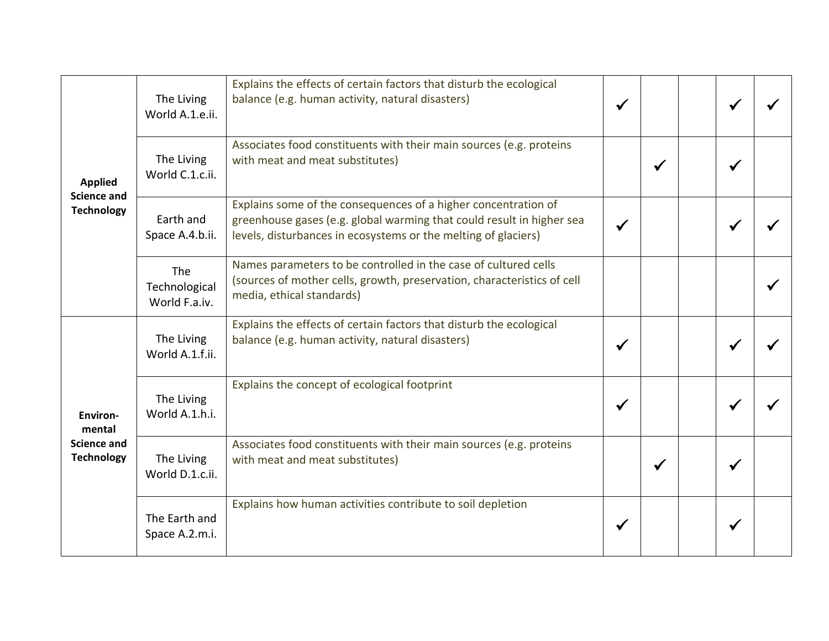| <b>Applied</b><br><b>Science and</b><br><b>Technology</b> | The Living<br>World A.1.e.ii.         | Explains the effects of certain factors that disturb the ecological<br>balance (e.g. human activity, natural disasters)                                                                                   |  |              |  |
|-----------------------------------------------------------|---------------------------------------|-----------------------------------------------------------------------------------------------------------------------------------------------------------------------------------------------------------|--|--------------|--|
|                                                           | The Living<br>World C.1.c.ii.         | Associates food constituents with their main sources (e.g. proteins<br>with meat and meat substitutes)                                                                                                    |  | $\checkmark$ |  |
|                                                           | Earth and<br>Space A.4.b.ii.          | Explains some of the consequences of a higher concentration of<br>greenhouse gases (e.g. global warming that could result in higher sea<br>levels, disturbances in ecosystems or the melting of glaciers) |  |              |  |
|                                                           | The<br>Technological<br>World F.a.iv. | Names parameters to be controlled in the case of cultured cells<br>(sources of mother cells, growth, preservation, characteristics of cell<br>media, ethical standards)                                   |  |              |  |
|                                                           | The Living<br>World A.1.f.ii.         | Explains the effects of certain factors that disturb the ecological<br>balance (e.g. human activity, natural disasters)                                                                                   |  |              |  |
| <b>Environ-</b><br>mental                                 | The Living<br>World A.1.h.i.          | Explains the concept of ecological footprint                                                                                                                                                              |  |              |  |
| <b>Science and</b><br><b>Technology</b>                   | The Living<br>World D.1.c.ii.         | Associates food constituents with their main sources (e.g. proteins<br>with meat and meat substitutes)                                                                                                    |  | $\checkmark$ |  |
|                                                           | The Earth and<br>Space A.2.m.i.       | Explains how human activities contribute to soil depletion                                                                                                                                                |  |              |  |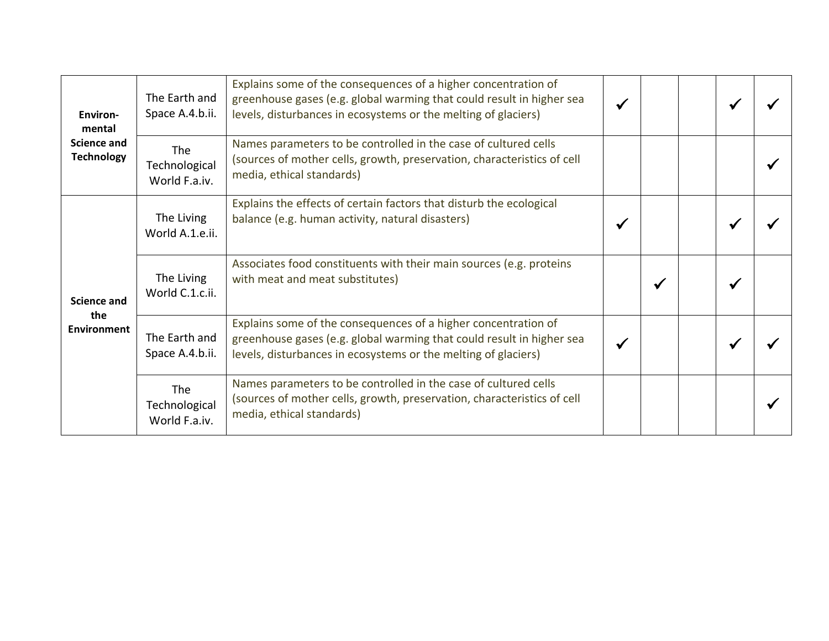| <b>Environ-</b><br>mental<br>Science and<br><b>Technology</b> | The Earth and<br>Space A.4.b.ii.             | Explains some of the consequences of a higher concentration of<br>greenhouse gases (e.g. global warming that could result in higher sea<br>levels, disturbances in ecosystems or the melting of glaciers) |  |   |  |
|---------------------------------------------------------------|----------------------------------------------|-----------------------------------------------------------------------------------------------------------------------------------------------------------------------------------------------------------|--|---|--|
|                                                               | <b>The</b><br>Technological<br>World F.a.iv. | Names parameters to be controlled in the case of cultured cells<br>(sources of mother cells, growth, preservation, characteristics of cell<br>media, ethical standards)                                   |  |   |  |
| <b>Science and</b><br>the<br><b>Environment</b>               | The Living<br>World A.1.e.ii.                | Explains the effects of certain factors that disturb the ecological<br>balance (e.g. human activity, natural disasters)                                                                                   |  |   |  |
|                                                               | The Living<br>World C.1.c.ii.                | Associates food constituents with their main sources (e.g. proteins<br>with meat and meat substitutes)                                                                                                    |  | √ |  |
|                                                               | The Earth and<br>Space A.4.b.ii.             | Explains some of the consequences of a higher concentration of<br>greenhouse gases (e.g. global warming that could result in higher sea<br>levels, disturbances in ecosystems or the melting of glaciers) |  |   |  |
|                                                               | <b>The</b><br>Technological<br>World F.a.iv. | Names parameters to be controlled in the case of cultured cells<br>(sources of mother cells, growth, preservation, characteristics of cell<br>media, ethical standards)                                   |  |   |  |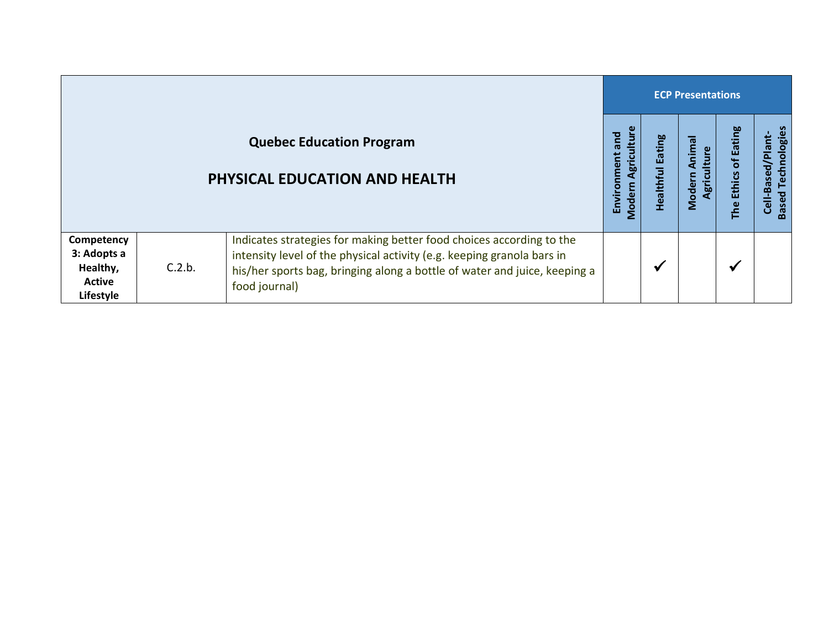|                                                              |        |                                                                                                                                                                                                                                              |                                             | <b>ECP Presentations</b>          |                                 |                         |                                                |  |  |  |
|--------------------------------------------------------------|--------|----------------------------------------------------------------------------------------------------------------------------------------------------------------------------------------------------------------------------------------------|---------------------------------------------|-----------------------------------|---------------------------------|-------------------------|------------------------------------------------|--|--|--|
|                                                              |        | <b>Quebec Education Program</b><br><b>PHYSICAL EDUCATION AND HEALTH</b>                                                                                                                                                                      | Agriculture<br>and<br>Environment<br>Modern | <b>Eating</b><br><b>Healthful</b> | Animal<br>Agriculture<br>Modern | Ethics of Eating<br>The | <b>Based Technologies</b><br>Cell-Based/Plant- |  |  |  |
| Competency<br>3: Adopts a<br>Healthy,<br>Active<br>Lifestyle | C.2.b. | Indicates strategies for making better food choices according to the<br>intensity level of the physical activity (e.g. keeping granola bars in<br>his/her sports bag, bringing along a bottle of water and juice, keeping a<br>food journal) |                                             | $\checkmark$                      |                                 | $\checkmark$            |                                                |  |  |  |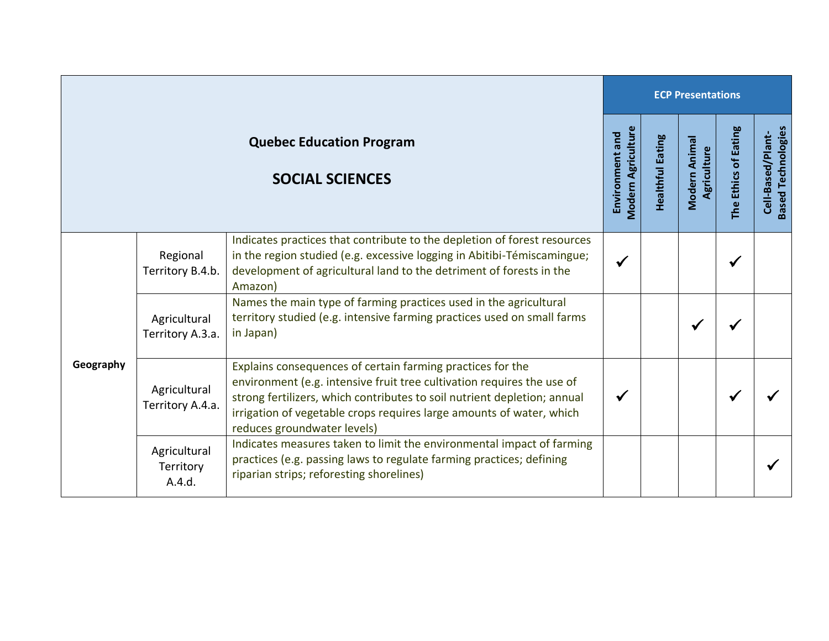|                                                           |                                     |                                                                                                                                                                                                                                                                                                                         | <b>ECP Presentations</b> |                         |                              |                      |                                                |  |  |
|-----------------------------------------------------------|-------------------------------------|-------------------------------------------------------------------------------------------------------------------------------------------------------------------------------------------------------------------------------------------------------------------------------------------------------------------------|--------------------------|-------------------------|------------------------------|----------------------|------------------------------------------------|--|--|
| <b>Quebec Education Program</b><br><b>SOCIAL SCIENCES</b> |                                     |                                                                                                                                                                                                                                                                                                                         |                          | <b>Healthful Eating</b> | Modern Animal<br>Agriculture | The Ethics of Eating | <b>Based Technologies</b><br>Cell-Based/Plant- |  |  |
| Geography                                                 | Regional<br>Territory B.4.b.        | Indicates practices that contribute to the depletion of forest resources<br>in the region studied (e.g. excessive logging in Abitibi-Témiscamingue;<br>development of agricultural land to the detriment of forests in the<br>Amazon)                                                                                   | $\checkmark$             |                         |                              | √                    |                                                |  |  |
|                                                           | Agricultural<br>Territory A.3.a.    | Names the main type of farming practices used in the agricultural<br>territory studied (e.g. intensive farming practices used on small farms<br>in Japan)                                                                                                                                                               |                          |                         |                              |                      |                                                |  |  |
|                                                           | Agricultural<br>Territory A.4.a.    | Explains consequences of certain farming practices for the<br>environment (e.g. intensive fruit tree cultivation requires the use of<br>strong fertilizers, which contributes to soil nutrient depletion; annual<br>irrigation of vegetable crops requires large amounts of water, which<br>reduces groundwater levels) | $\checkmark$             |                         |                              |                      |                                                |  |  |
|                                                           | Agricultural<br>Territory<br>A.4.d. | Indicates measures taken to limit the environmental impact of farming<br>practices (e.g. passing laws to regulate farming practices; defining<br>riparian strips; reforesting shorelines)                                                                                                                               |                          |                         |                              |                      |                                                |  |  |